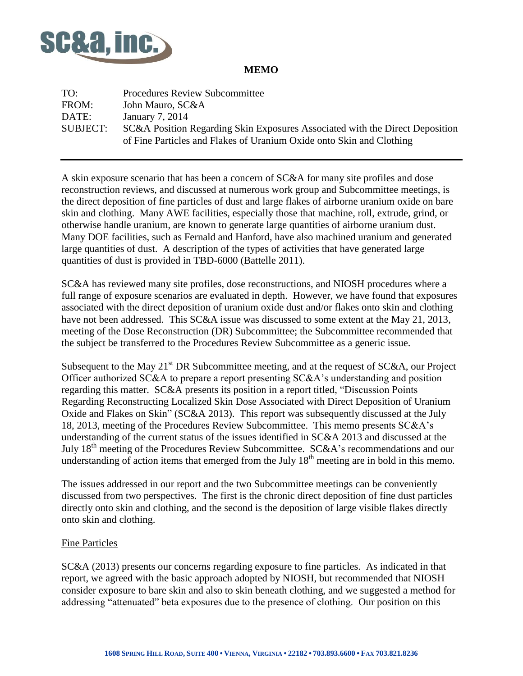

# **MEMO**

TO: Procedures Review Subcommittee FROM: John Mauro, SC&A DATE: January 7, 2014 SUBJECT: SC&A Position Regarding Skin Exposures Associated with the Direct Deposition of Fine Particles and Flakes of Uranium Oxide onto Skin and Clothing

A skin exposure scenario that has been a concern of SC&A for many site profiles and dose reconstruction reviews, and discussed at numerous work group and Subcommittee meetings, is the direct deposition of fine particles of dust and large flakes of airborne uranium oxide on bare skin and clothing. Many AWE facilities, especially those that machine, roll, extrude, grind, or otherwise handle uranium, are known to generate large quantities of airborne uranium dust. Many DOE facilities, such as Fernald and Hanford, have also machined uranium and generated large quantities of dust. A description of the types of activities that have generated large quantities of dust is provided in TBD-6000 (Battelle 2011).

SC&A has reviewed many site profiles, dose reconstructions, and NIOSH procedures where a full range of exposure scenarios are evaluated in depth. However, we have found that exposures associated with the direct deposition of uranium oxide dust and/or flakes onto skin and clothing have not been addressed. This SC&A issue was discussed to some extent at the May 21, 2013, meeting of the Dose Reconstruction (DR) Subcommittee; the Subcommittee recommended that the subject be transferred to the Procedures Review Subcommittee as a generic issue.

Subsequent to the May  $21<sup>st</sup> DR$  Subcommittee meeting, and at the request of SC&A, our Project Officer authorized SC&A to prepare a report presenting SC&A's understanding and position regarding this matter. SC&A presents its position in a report titled, "Discussion Points Regarding Reconstructing Localized Skin Dose Associated with Direct Deposition of Uranium Oxide and Flakes on Skin" (SC&A 2013). This report was subsequently discussed at the July 18, 2013, meeting of the Procedures Review Subcommittee. This memo presents SC&A's understanding of the current status of the issues identified in SC&A 2013 and discussed at the July  $18<sup>th</sup>$  meeting of the Procedures Review Subcommittee. SC&A's recommendations and our understanding of action items that emerged from the July  $18<sup>th</sup>$  meeting are in bold in this memo.

The issues addressed in our report and the two Subcommittee meetings can be conveniently discussed from two perspectives. The first is the chronic direct deposition of fine dust particles directly onto skin and clothing, and the second is the deposition of large visible flakes directly onto skin and clothing.

#### Fine Particles

SC&A (2013) presents our concerns regarding exposure to fine particles. As indicated in that report, we agreed with the basic approach adopted by NIOSH, but recommended that NIOSH consider exposure to bare skin and also to skin beneath clothing, and we suggested a method for addressing "attenuated" beta exposures due to the presence of clothing. Our position on this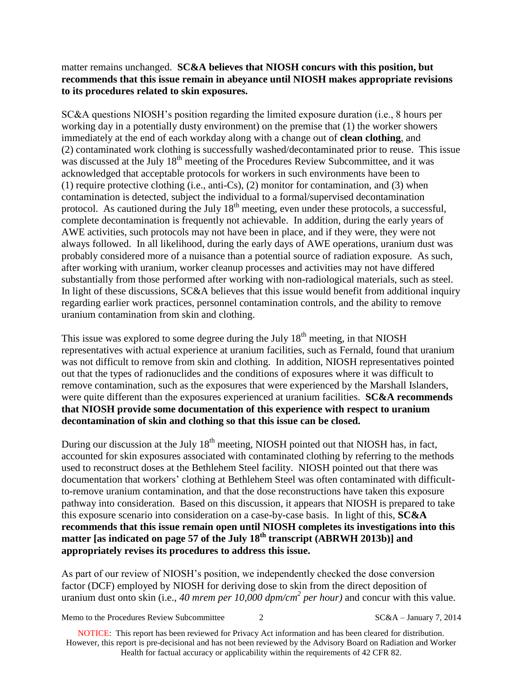## matter remains unchanged. **SC&A believes that NIOSH concurs with this position, but recommends that this issue remain in abeyance until NIOSH makes appropriate revisions to its procedures related to skin exposures.**

SC&A questions NIOSH's position regarding the limited exposure duration (i.e., 8 hours per working day in a potentially dusty environment) on the premise that (1) the worker showers immediately at the end of each workday along with a change out of **clean clothing**, and (2) contaminated work clothing is successfully washed/decontaminated prior to reuse. This issue was discussed at the July 18<sup>th</sup> meeting of the Procedures Review Subcommittee, and it was acknowledged that acceptable protocols for workers in such environments have been to (1) require protective clothing (i.e., anti-Cs), (2) monitor for contamination, and (3) when contamination is detected, subject the individual to a formal/supervised decontamination protocol. As cautioned during the July  $18<sup>th</sup>$  meeting, even under these protocols, a successful, complete decontamination is frequently not achievable. In addition, during the early years of AWE activities, such protocols may not have been in place, and if they were, they were not always followed. In all likelihood, during the early days of AWE operations, uranium dust was probably considered more of a nuisance than a potential source of radiation exposure. As such, after working with uranium, worker cleanup processes and activities may not have differed substantially from those performed after working with non-radiological materials, such as steel. In light of these discussions, SC&A believes that this issue would benefit from additional inquiry regarding earlier work practices, personnel contamination controls, and the ability to remove uranium contamination from skin and clothing.

This issue was explored to some degree during the July  $18<sup>th</sup>$  meeting, in that NIOSH representatives with actual experience at uranium facilities, such as Fernald, found that uranium was not difficult to remove from skin and clothing. In addition, NIOSH representatives pointed out that the types of radionuclides and the conditions of exposures where it was difficult to remove contamination, such as the exposures that were experienced by the Marshall Islanders, were quite different than the exposures experienced at uranium facilities. **SC&A recommends that NIOSH provide some documentation of this experience with respect to uranium decontamination of skin and clothing so that this issue can be closed.**

During our discussion at the July  $18<sup>th</sup>$  meeting, NIOSH pointed out that NIOSH has, in fact, accounted for skin exposures associated with contaminated clothing by referring to the methods used to reconstruct doses at the Bethlehem Steel facility. NIOSH pointed out that there was documentation that workers' clothing at Bethlehem Steel was often contaminated with difficultto-remove uranium contamination, and that the dose reconstructions have taken this exposure pathway into consideration. Based on this discussion, it appears that NIOSH is prepared to take this exposure scenario into consideration on a case-by-case basis. In light of this, **SC&A recommends that this issue remain open until NIOSH completes its investigations into this matter [as indicated on page 57 of the July 18th transcript (ABRWH 2013b)] and appropriately revises its procedures to address this issue.**

As part of our review of NIOSH's position, we independently checked the dose conversion factor (DCF) employed by NIOSH for deriving dose to skin from the direct deposition of uranium dust onto skin (i.e., *40 mrem per 10,000 dpm/cm<sup>2</sup> per hour)* and concur with this value.

Memo to the Procedures Review Subcommittee 2 SC&A – January 7, 2014

NOTICE: This report has been reviewed for Privacy Act information and has been cleared for distribution. However, this report is pre-decisional and has not been reviewed by the Advisory Board on Radiation and Worker Health for factual accuracy or applicability within the requirements of 42 CFR 82.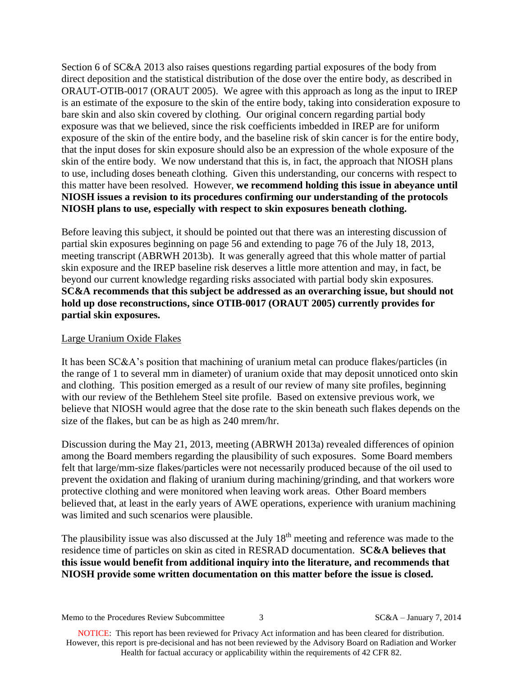Section 6 of SC&A 2013 also raises questions regarding partial exposures of the body from direct deposition and the statistical distribution of the dose over the entire body, as described in ORAUT-OTIB-0017 (ORAUT 2005). We agree with this approach as long as the input to IREP is an estimate of the exposure to the skin of the entire body, taking into consideration exposure to bare skin and also skin covered by clothing. Our original concern regarding partial body exposure was that we believed, since the risk coefficients imbedded in IREP are for uniform exposure of the skin of the entire body, and the baseline risk of skin cancer is for the entire body, that the input doses for skin exposure should also be an expression of the whole exposure of the skin of the entire body. We now understand that this is, in fact, the approach that NIOSH plans to use, including doses beneath clothing. Given this understanding, our concerns with respect to this matter have been resolved. However, **we recommend holding this issue in abeyance until NIOSH issues a revision to its procedures confirming our understanding of the protocols NIOSH plans to use, especially with respect to skin exposures beneath clothing.**

Before leaving this subject, it should be pointed out that there was an interesting discussion of partial skin exposures beginning on page 56 and extending to page 76 of the July 18, 2013, meeting transcript (ABRWH 2013b). It was generally agreed that this whole matter of partial skin exposure and the IREP baseline risk deserves a little more attention and may, in fact, be beyond our current knowledge regarding risks associated with partial body skin exposures. **SC&A recommends that this subject be addressed as an overarching issue, but should not hold up dose reconstructions, since OTIB-0017 (ORAUT 2005) currently provides for partial skin exposures.**

### Large Uranium Oxide Flakes

It has been SC&A's position that machining of uranium metal can produce flakes/particles (in the range of 1 to several mm in diameter) of uranium oxide that may deposit unnoticed onto skin and clothing. This position emerged as a result of our review of many site profiles, beginning with our review of the Bethlehem Steel site profile. Based on extensive previous work, we believe that NIOSH would agree that the dose rate to the skin beneath such flakes depends on the size of the flakes, but can be as high as 240 mrem/hr.

Discussion during the May 21, 2013, meeting (ABRWH 2013a) revealed differences of opinion among the Board members regarding the plausibility of such exposures. Some Board members felt that large/mm-size flakes/particles were not necessarily produced because of the oil used to prevent the oxidation and flaking of uranium during machining/grinding, and that workers wore protective clothing and were monitored when leaving work areas. Other Board members believed that, at least in the early years of AWE operations, experience with uranium machining was limited and such scenarios were plausible.

The plausibility issue was also discussed at the July  $18<sup>th</sup>$  meeting and reference was made to the residence time of particles on skin as cited in RESRAD documentation. **SC&A believes that this issue would benefit from additional inquiry into the literature, and recommends that NIOSH provide some written documentation on this matter before the issue is closed.**

Memo to the Procedures Review Subcommittee 3 SC&A – January 7, 2014

NOTICE: This report has been reviewed for Privacy Act information and has been cleared for distribution. However, this report is pre-decisional and has not been reviewed by the Advisory Board on Radiation and Worker Health for factual accuracy or applicability within the requirements of 42 CFR 82.